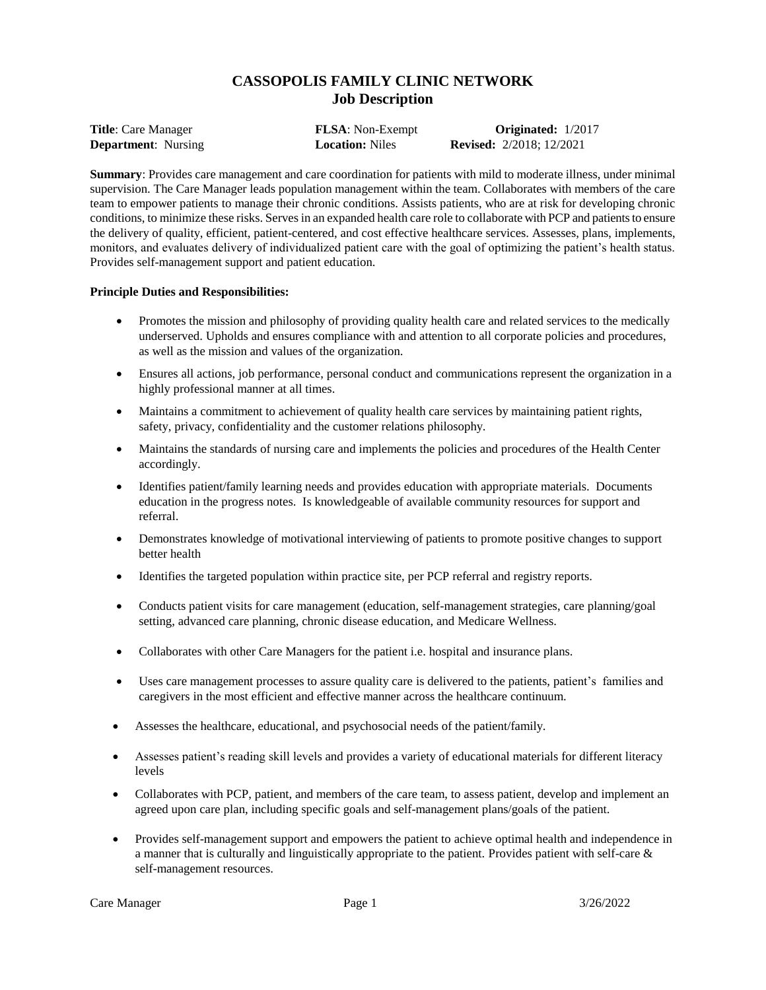# **CASSOPOLIS FAMILY CLINIC NETWORK Job Description**

**Title**: Care Manager **FLSA**: Non-Exempt **Originated:** 1/2017 **Department**: Nursing **Location:** Niles **Revised:** 2/2018; 12/2021

**Summary**: Provides care management and care coordination for patients with mild to moderate illness, under minimal supervision. The Care Manager leads population management within the team. Collaborates with members of the care team to empower patients to manage their chronic conditions. Assists patients, who are at risk for developing chronic conditions, to minimize these risks. Serves in an expanded health care role to collaborate with PCP and patients to ensure the delivery of quality, efficient, patient-centered, and cost effective healthcare services. Assesses, plans, implements, monitors, and evaluates delivery of individualized patient care with the goal of optimizing the patient's health status. Provides self-management support and patient education.

# **Principle Duties and Responsibilities:**

- Promotes the mission and philosophy of providing quality health care and related services to the medically underserved. Upholds and ensures compliance with and attention to all corporate policies and procedures, as well as the mission and values of the organization.
- Ensures all actions, job performance, personal conduct and communications represent the organization in a highly professional manner at all times.
- Maintains a commitment to achievement of quality health care services by maintaining patient rights, safety, privacy, confidentiality and the customer relations philosophy.
- Maintains the standards of nursing care and implements the policies and procedures of the Health Center accordingly.
- Identifies patient/family learning needs and provides education with appropriate materials. Documents education in the progress notes. Is knowledgeable of available community resources for support and referral.
- Demonstrates knowledge of motivational interviewing of patients to promote positive changes to support better health
- Identifies the targeted population within practice site, per PCP referral and registry reports.
- Conducts patient visits for care management (education, self-management strategies, care planning/goal setting, advanced care planning, chronic disease education, and Medicare Wellness.
- Collaborates with other Care Managers for the patient i.e. hospital and insurance plans.
- Uses care management processes to assure quality care is delivered to the patients, patient's families and caregivers in the most efficient and effective manner across the healthcare continuum.
- Assesses the healthcare, educational, and psychosocial needs of the patient/family.
- Assesses patient's reading skill levels and provides a variety of educational materials for different literacy levels
- Collaborates with PCP, patient, and members of the care team, to assess patient, develop and implement an agreed upon care plan, including specific goals and self-management plans/goals of the patient.
- Provides self-management support and empowers the patient to achieve optimal health and independence in a manner that is culturally and linguistically appropriate to the patient. Provides patient with self-care & self-management resources.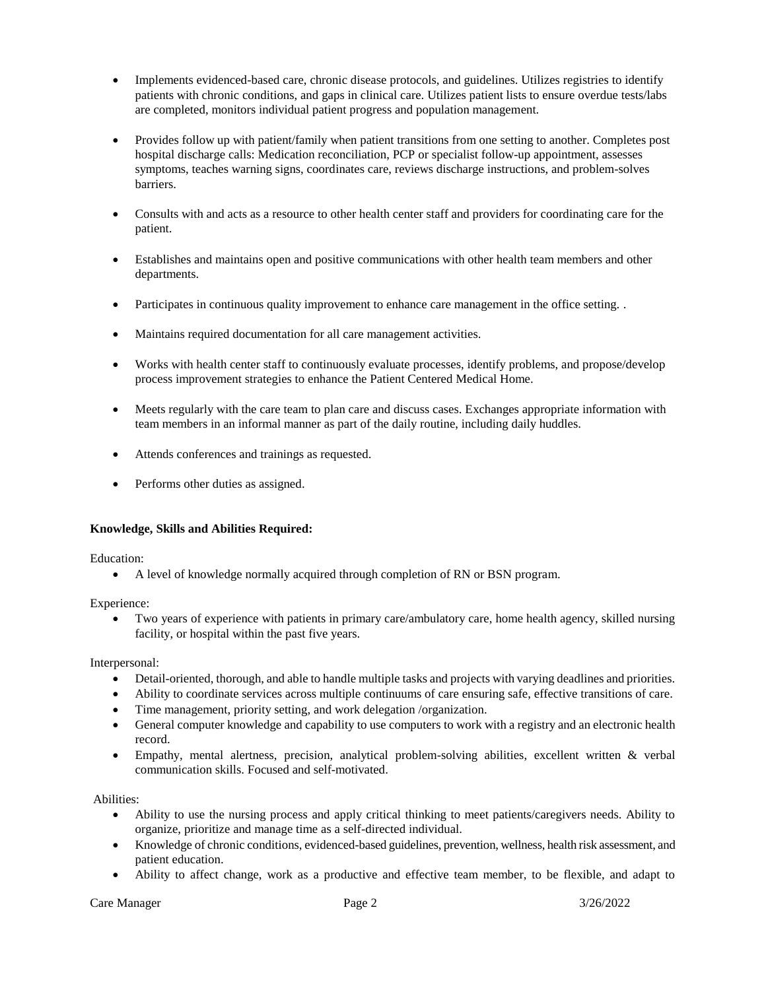- Implements evidenced-based care, chronic disease protocols, and guidelines. Utilizes registries to identify patients with chronic conditions, and gaps in clinical care. Utilizes patient lists to ensure overdue tests/labs are completed, monitors individual patient progress and population management.
- Provides follow up with patient/family when patient transitions from one setting to another. Completes post hospital discharge calls: Medication reconciliation, PCP or specialist follow-up appointment, assesses symptoms, teaches warning signs, coordinates care, reviews discharge instructions, and problem-solves barriers.
- Consults with and acts as a resource to other health center staff and providers for coordinating care for the patient.
- Establishes and maintains open and positive communications with other health team members and other departments.
- Participates in continuous quality improvement to enhance care management in the office setting.
- Maintains required documentation for all care management activities.
- Works with health center staff to continuously evaluate processes, identify problems, and propose/develop process improvement strategies to enhance the Patient Centered Medical Home.
- Meets regularly with the care team to plan care and discuss cases. Exchanges appropriate information with team members in an informal manner as part of the daily routine, including daily huddles.
- Attends conferences and trainings as requested.
- Performs other duties as assigned.

# **Knowledge, Skills and Abilities Required:**

Education:

A level of knowledge normally acquired through completion of RN or BSN program.

Experience:

 Two years of experience with patients in primary care/ambulatory care, home health agency, skilled nursing facility, or hospital within the past five years.

Interpersonal:

- Detail-oriented, thorough, and able to handle multiple tasks and projects with varying deadlines and priorities.
- Ability to coordinate services across multiple continuums of care ensuring safe, effective transitions of care.
- Time management, priority setting, and work delegation /organization.
- General computer knowledge and capability to use computers to work with a registry and an electronic health record.
- Empathy, mental alertness, precision, analytical problem-solving abilities, excellent written & verbal communication skills. Focused and self-motivated.

Abilities:

- Ability to use the nursing process and apply critical thinking to meet patients/caregivers needs. Ability to organize, prioritize and manage time as a self-directed individual.
- Knowledge of chronic conditions, evidenced-based guidelines, prevention, wellness, health risk assessment, and patient education.
- Ability to affect change, work as a productive and effective team member, to be flexible, and adapt to

Care Manager 2 3/26/2022